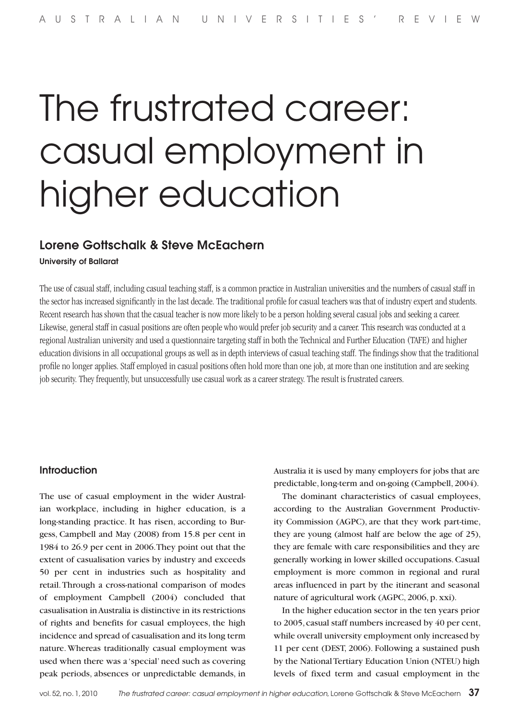# The frustrated career: casual employment in higher education

# Lorene Gottschalk & Steve McEachern

# University of Ballarat

The use of casual staff, including casual teaching staff, is a common practice in Australian universities and the numbers of casual staff in the sector has increased significantly in the last decade. The traditional profile for casual teachers was that of industry expert and students. Recent research has shown that the casual teacher is now more likely to be a person holding several casual jobs and seeking a career. Likewise, general staff in casual positions are often people who would prefer job security and a career. This research was conducted at a regional Australian university and used a questionnaire targeting staff in both the Technical and Further Education (TAFE) and higher education divisions in all occupational groups as well as in depth interviews of casual teaching staff. The findings show that the traditional profile no longer applies. Staff employed in casual positions often hold more than one job, at more than one institution and are seeking job security. They frequently, but unsuccessfully use casual work as a career strategy. The result is frustrated careers.

# Introduction

The use of casual employment in the wider Australian workplace, including in higher education, is a long-standing practice. It has risen, according to Burgess, Campbell and May (2008) from 15.8 per cent in 1984 to 26.9 per cent in 2006. They point out that the extent of casualisation varies by industry and exceeds 50 per cent in industries such as hospitality and retail. Through a cross-national comparison of modes of employment Campbell (2004) concluded that casualisation in Australia is distinctive in its restrictions of rights and benefits for casual employees, the high incidence and spread of casualisation and its long term nature. Whereas traditionally casual employment was used when there was a 'special' need such as covering peak periods, absences or unpredictable demands, in

Australia it is used by many employers for jobs that are predictable, long-term and on-going (Campbell, 2004).

The dominant characteristics of casual employees, according to the Australian Government Productivity Commission (AGPC), are that they work part-time, they are young (almost half are below the age of 25), they are female with care responsibilities and they are generally working in lower skilled occupations. Casual employment is more common in regional and rural areas influenced in part by the itinerant and seasonal nature of agricultural work (AGPC, 2006, p. xxi).

In the higher education sector in the ten years prior to 2005, casual staff numbers increased by 40 per cent, while overall university employment only increased by 11 per cent (DEST, 2006). Following a sustained push by the National Tertiary Education Union (NTEU) high levels of fixed term and casual employment in the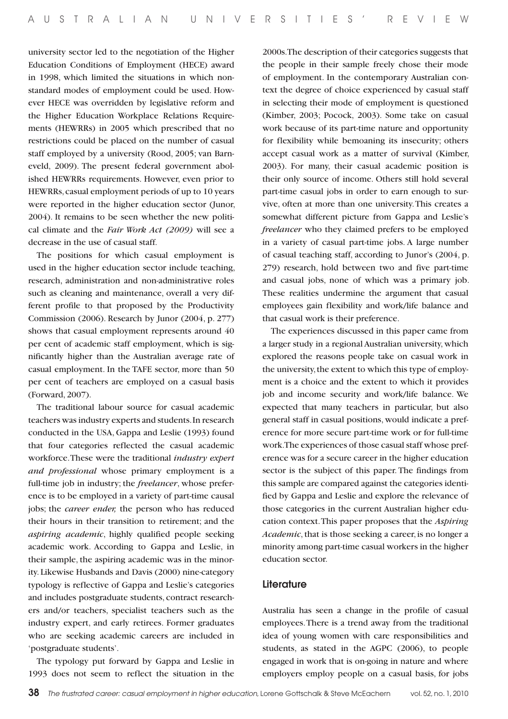university sector led to the negotiation of the Higher Education Conditions of Employment (HECE) award in 1998, which limited the situations in which nonstandard modes of employment could be used. However HECE was overridden by legislative reform and the Higher Education Workplace Relations Requirements (HEWRRs) in 2005 which prescribed that no restrictions could be placed on the number of casual staff employed by a university (Rood, 2005; van Barneveld, 2009). The present federal government abolished HEWRRs requirements. However, even prior to HEWRRs, casual employment periods of up to 10 years were reported in the higher education sector (Junor, 2004). It remains to be seen whether the new political climate and the *Fair Work Act (2009)* will see a decrease in the use of casual staff.

The positions for which casual employment is used in the higher education sector include teaching, research, administration and non-administrative roles such as cleaning and maintenance, overall a very different profile to that proposed by the Productivity Commission (2006). Research by Junor (2004, p. 277) shows that casual employment represents around 40 per cent of academic staff employment, which is significantly higher than the Australian average rate of casual employment. In the TAFE sector, more than 50 per cent of teachers are employed on a casual basis (Forward, 2007).

The traditional labour source for casual academic teachers was industry experts and students. In research conducted in the USA, Gappa and Leslie (1993) found that four categories reflected the casual academic workforce. These were the traditional *industry expert and professional* whose primary employment is a full-time job in industry; the *freelancer*, whose preference is to be employed in a variety of part-time causal jobs; the *career ender,* the person who has reduced their hours in their transition to retirement; and the *aspiring academic*, highly qualified people seeking academic work. According to Gappa and Leslie, in their sample, the aspiring academic was in the minority. Likewise Husbands and Davis (2000) nine-category typology is reflective of Gappa and Leslie's categories and includes postgraduate students, contract researchers and/or teachers, specialist teachers such as the industry expert, and early retirees. Former graduates who are seeking academic careers are included in 'postgraduate students'.

The typology put forward by Gappa and Leslie in 1993 does not seem to reflect the situation in the

2000s. The description of their categories suggests that the people in their sample freely chose their mode of employment. In the contemporary Australian context the degree of choice experienced by casual staff in selecting their mode of employment is questioned (Kimber, 2003; Pocock, 2003). Some take on casual work because of its part-time nature and opportunity for flexibility while bemoaning its insecurity; others accept casual work as a matter of survival (Kimber, 2003). For many, their casual academic position is their only source of income. Others still hold several part-time casual jobs in order to earn enough to survive, often at more than one university. This creates a somewhat different picture from Gappa and Leslie's *freelancer* who they claimed prefers to be employed in a variety of casual part-time jobs. A large number of casual teaching staff, according to Junor's (2004, p. 279) research, hold between two and five part-time and casual jobs, none of which was a primary job. These realities undermine the argument that casual employees gain flexibility and work/life balance and that casual work is their preference.

The experiences discussed in this paper came from a larger study in a regional Australian university, which explored the reasons people take on casual work in the university, the extent to which this type of employment is a choice and the extent to which it provides job and income security and work/life balance. We expected that many teachers in particular, but also general staff in casual positions, would indicate a preference for more secure part-time work or for full-time work. The experiences of those casual staff whose preference was for a secure career in the higher education sector is the subject of this paper. The findings from this sample are compared against the categories identified by Gappa and Leslie and explore the relevance of those categories in the current Australian higher education context. This paper proposes that the *Aspiring Academic*, that is those seeking a career, is no longer a minority among part-time casual workers in the higher education sector.

## **Literature**

Australia has seen a change in the profile of casual employees. There is a trend away from the traditional idea of young women with care responsibilities and students, as stated in the AGPC (2006), to people engaged in work that is on-going in nature and where employers employ people on a casual basis, for jobs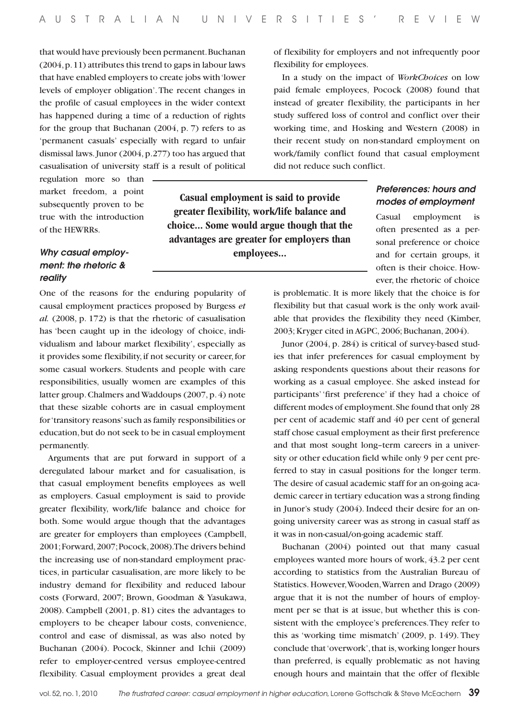that would have previously been permanent. Buchanan (2004, p. 11) attributes this trend to gaps in labour laws that have enabled employers to create jobs with 'lower levels of employer obligation'. The recent changes in the profile of casual employees in the wider context has happened during a time of a reduction of rights for the group that Buchanan (2004, p. 7) refers to as 'permanent casuals' especially with regard to unfair dismissal laws. Junor (2004, p.277) too has argued that casualisation of university staff is a result of political

regulation more so than market freedom, a point subsequently proven to be true with the introduction of the HEWRRs.

# *Why casual employment: the rhetoric & reality*

**greater flexibility, work/life balance and choice... Some would argue though that the advantages are greater for employers than employees...**

**Casual employment is said to provide** 

One of the reasons for the enduring popularity of causal employment practices proposed by Burgess *et al.* (2008, p. 172) is that the rhetoric of casualisation has 'been caught up in the ideology of choice, individualism and labour market flexibility', especially as it provides some flexibility, if not security or career, for some casual workers. Students and people with care responsibilities, usually women are examples of this latter group. Chalmers and Waddoups (2007, p. 4) note that these sizable cohorts are in casual employment for 'transitory reasons' such as family responsibilities or education, but do not seek to be in casual employment permanently.

Arguments that are put forward in support of a deregulated labour market and for casualisation, is that casual employment benefits employees as well as employers. Casual employment is said to provide greater flexibility, work/life balance and choice for both. Some would argue though that the advantages are greater for employers than employees (Campbell, 2001; Forward, 2007; Pocock, 2008). The drivers behind the increasing use of non-standard employment practices, in particular casualisation, are more likely to be industry demand for flexibility and reduced labour costs (Forward, 2007; Brown, Goodman & Yasukawa, 2008). Campbell (2001, p. 81) cites the advantages to employers to be cheaper labour costs, convenience, control and ease of dismissal, as was also noted by Buchanan (2004). Pocock, Skinner and Ichii (2009) refer to employer-centred versus employee-centred flexibility. Casual employment provides a great deal

of flexibility for employers and not infrequently poor flexibility for employees.

In a study on the impact of *WorkChoices* on low paid female employees, Pocock (2008) found that instead of greater flexibility, the participants in her study suffered loss of control and conflict over their working time, and Hosking and Western (2008) in their recent study on non-standard employment on work/family conflict found that casual employment did not reduce such conflict.

# *Preferences: hours and modes of employment*

Casual employment is often presented as a personal preference or choice and for certain groups, it often is their choice. However, the rhetoric of choice

is problematic. It is more likely that the choice is for flexibility but that casual work is the only work available that provides the flexibility they need (Kimber, 2003; Kryger cited in AGPC, 2006; Buchanan, 2004).

Junor (2004, p. 284) is critical of survey-based studies that infer preferences for casual employment by asking respondents questions about their reasons for working as a casual employee. She asked instead for participants' 'first preference' if they had a choice of different modes of employment. She found that only 28 per cent of academic staff and 40 per cent of general staff chose casual employment as their first preference and that most sought long–term careers in a university or other education field while only 9 per cent preferred to stay in casual positions for the longer term. The desire of casual academic staff for an on-going academic career in tertiary education was a strong finding in Junor's study (2004). Indeed their desire for an ongoing university career was as strong in casual staff as it was in non-casual/on-going academic staff.

Buchanan (2004) pointed out that many casual employees wanted more hours of work, 43.2 per cent according to statistics from the Australian Bureau of Statistics. However, Wooden, Warren and Drago (2009) argue that it is not the number of hours of employment per se that is at issue, but whether this is consistent with the employee's preferences. They refer to this as 'working time mismatch' (2009, p. 149). They conclude that 'overwork', that is, working longer hours than preferred, is equally problematic as not having enough hours and maintain that the offer of flexible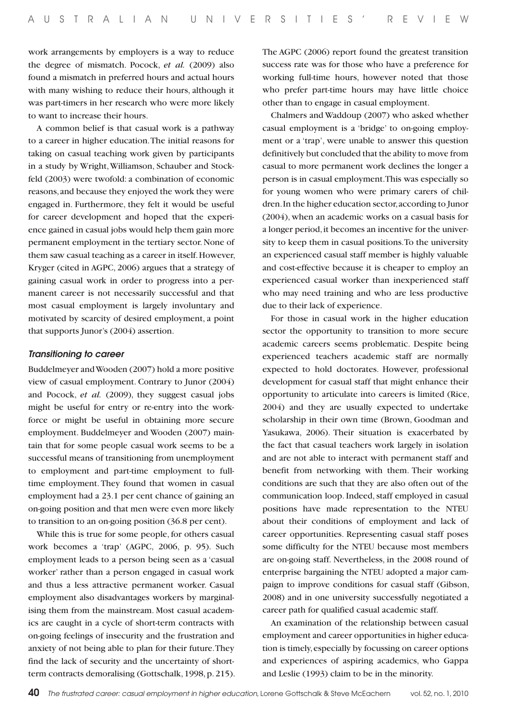work arrangements by employers is a way to reduce the degree of mismatch. Pocock, *et al.* (2009) also found a mismatch in preferred hours and actual hours with many wishing to reduce their hours, although it was part-timers in her research who were more likely to want to increase their hours.

A common belief is that casual work is a pathway to a career in higher education. The initial reasons for taking on casual teaching work given by participants in a study by Wright, Williamson, Schauber and Stockfeld (2003) were twofold: a combination of economic reasons, and because they enjoyed the work they were engaged in. Furthermore, they felt it would be useful for career development and hoped that the experience gained in casual jobs would help them gain more permanent employment in the tertiary sector. None of them saw casual teaching as a career in itself. However, Kryger (cited in AGPC, 2006) argues that a strategy of gaining casual work in order to progress into a permanent career is not necessarily successful and that most casual employment is largely involuntary and motivated by scarcity of desired employment, a point that supports Junor's (2004) assertion.

#### *Transitioning to career*

Buddelmeyer and Wooden (2007) hold a more positive view of casual employment. Contrary to Junor (2004) and Pocock, *et al.* (2009), they suggest casual jobs might be useful for entry or re-entry into the workforce or might be useful in obtaining more secure employment. Buddelmeyer and Wooden (2007) maintain that for some people casual work seems to be a successful means of transitioning from unemployment to employment and part-time employment to fulltime employment. They found that women in casual employment had a 23.1 per cent chance of gaining an on-going position and that men were even more likely to transition to an on-going position (36.8 per cent).

While this is true for some people, for others casual work becomes a 'trap' (AGPC, 2006, p. 95). Such employment leads to a person being seen as a 'casual worker' rather than a person engaged in casual work and thus a less attractive permanent worker. Casual employment also disadvantages workers by marginalising them from the mainstream. Most casual academics are caught in a cycle of short-term contracts with on-going feelings of insecurity and the frustration and anxiety of not being able to plan for their future. They find the lack of security and the uncertainty of shortterm contracts demoralising (Gottschalk, 1998, p. 215). The AGPC (2006) report found the greatest transition success rate was for those who have a preference for working full-time hours, however noted that those who prefer part-time hours may have little choice other than to engage in casual employment.

Chalmers and Waddoup (2007) who asked whether casual employment is a 'bridge' to on-going employment or a 'trap', were unable to answer this question definitively but concluded that the ability to move from casual to more permanent work declines the longer a person is in casual employment. This was especially so for young women who were primary carers of children. In the higher education sector, according to Junor (2004), when an academic works on a casual basis for a longer period, it becomes an incentive for the university to keep them in casual positions. To the university an experienced casual staff member is highly valuable and cost-effective because it is cheaper to employ an experienced casual worker than inexperienced staff who may need training and who are less productive due to their lack of experience.

For those in casual work in the higher education sector the opportunity to transition to more secure academic careers seems problematic. Despite being experienced teachers academic staff are normally expected to hold doctorates. However, professional development for casual staff that might enhance their opportunity to articulate into careers is limited (Rice, 2004) and they are usually expected to undertake scholarship in their own time (Brown, Goodman and Yasukawa, 2006). Their situation is exacerbated by the fact that casual teachers work largely in isolation and are not able to interact with permanent staff and benefit from networking with them. Their working conditions are such that they are also often out of the communication loop. Indeed, staff employed in casual positions have made representation to the NTEU about their conditions of employment and lack of career opportunities. Representing casual staff poses some difficulty for the NTEU because most members are on-going staff. Nevertheless, in the 2008 round of enterprise bargaining the NTEU adopted a major campaign to improve conditions for casual staff (Gibson, 2008) and in one university successfully negotiated a career path for qualified casual academic staff.

An examination of the relationship between casual employment and career opportunities in higher education is timely, especially by focussing on career options and experiences of aspiring academics, who Gappa and Leslie (1993) claim to be in the minority.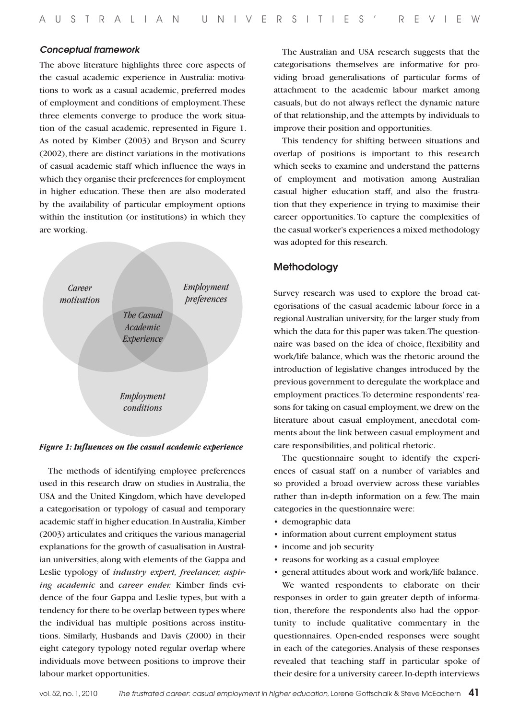#### *Conceptual framework*

The above literature highlights three core aspects of the casual academic experience in Australia: motivations to work as a casual academic, preferred modes of employment and conditions of employment. These three elements converge to produce the work situation of the casual academic, represented in Figure 1. As noted by Kimber (2003) and Bryson and Scurry (2002), there are distinct variations in the motivations of casual academic staff which influence the ways in which they organise their preferences for employment in higher education. These then are also moderated by the availability of particular employment options within the institution (or institutions) in which they are working.



#### *Figure 1: Influences on the casual academic experience*

The methods of identifying employee preferences used in this research draw on studies in Australia, the USA and the United Kingdom, which have developed a categorisation or typology of casual and temporary academic staff in higher education. In Australia, Kimber (2003) articulates and critiques the various managerial explanations for the growth of casualisation in Australian universities, along with elements of the Gappa and Leslie typology of *industry expert, freelancer, aspiring academic* and *career ender.* Kimber finds evidence of the four Gappa and Leslie types, but with a tendency for there to be overlap between types where the individual has multiple positions across institutions. Similarly, Husbands and Davis (2000) in their eight category typology noted regular overlap where individuals move between positions to improve their labour market opportunities.

The Australian and USA research suggests that the categorisations themselves are informative for providing broad generalisations of particular forms of attachment to the academic labour market among casuals, but do not always reflect the dynamic nature of that relationship, and the attempts by individuals to improve their position and opportunities.

This tendency for shifting between situations and overlap of positions is important to this research which seeks to examine and understand the patterns of employment and motivation among Australian casual higher education staff, and also the frustration that they experience in trying to maximise their career opportunities. To capture the complexities of the casual worker's experiences a mixed methodology was adopted for this research.

## Methodology

Survey research was used to explore the broad categorisations of the casual academic labour force in a regional Australian university, for the larger study from which the data for this paper was taken. The questionnaire was based on the idea of choice, flexibility and work/life balance, which was the rhetoric around the introduction of legislative changes introduced by the previous government to deregulate the workplace and employment practices. To determine respondents' reasons for taking on casual employment, we drew on the literature about casual employment, anecdotal comments about the link between casual employment and care responsibilities, and political rhetoric.

The questionnaire sought to identify the experiences of casual staff on a number of variables and so provided a broad overview across these variables rather than in-depth information on a few. The main categories in the questionnaire were:

- • demographic data
- • information about current employment status
- income and job security
- reasons for working as a casual employee
- • general attitudes about work and work/life balance.

We wanted respondents to elaborate on their responses in order to gain greater depth of information, therefore the respondents also had the opportunity to include qualitative commentary in the questionnaires. Open-ended responses were sought in each of the categories. Analysis of these responses revealed that teaching staff in particular spoke of their desire for a university career. In-depth interviews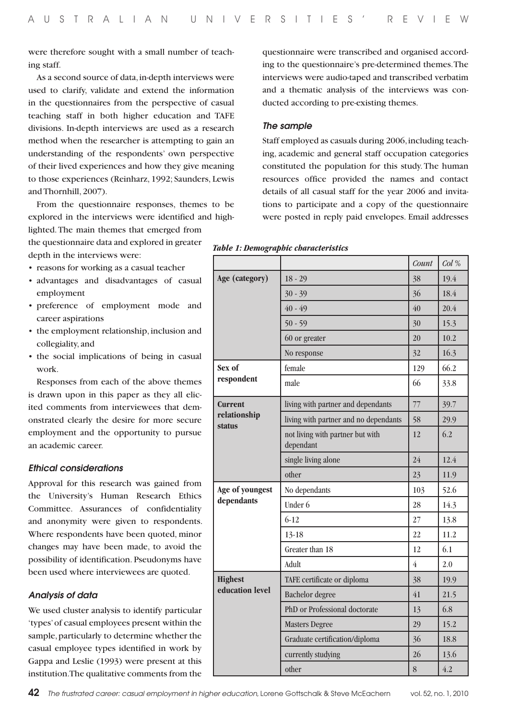were therefore sought with a small number of teaching staff.

As a second source of data, in-depth interviews were used to clarify, validate and extend the information in the questionnaires from the perspective of casual teaching staff in both higher education and TAFE divisions. In-depth interviews are used as a research method when the researcher is attempting to gain an understanding of the respondents' own perspective of their lived experiences and how they give meaning to those experiences (Reinharz, 1992; Saunders, Lewis and Thornhill, 2007).

From the questionnaire responses, themes to be explored in the interviews were identified and highlighted. The main themes that emerged from

the questionnaire data and explored in greater depth in the interviews were:

- reasons for working as a casual teacher
- • advantages and disadvantages of casual employment
- • preference of employment mode and career aspirations
- • the employment relationship, inclusion and collegiality, and
- the social implications of being in casual work.

Responses from each of the above themes is drawn upon in this paper as they all elicited comments from interviewees that demonstrated clearly the desire for more secure employment and the opportunity to pursue an academic career.

## *Ethical considerations*

Approval for this research was gained from the University's Human Research Ethics Committee. Assurances of confidentiality and anonymity were given to respondents. Where respondents have been quoted, minor changes may have been made, to avoid the possibility of identification. Pseudonyms have been used where interviewees are quoted.

## *Analysis of data*

We used cluster analysis to identify particular 'types' of casual employees present within the sample, particularly to determine whether the casual employee types identified in work by Gappa and Leslie (1993) were present at this institution. The qualitative comments from the questionnaire were transcribed and organised according to the questionnaire's pre-determined themes. The interviews were audio-taped and transcribed verbatim and a thematic analysis of the interviews was conducted according to pre-existing themes.

## *The sample*

Staff employed as casuals during 2006, including teaching, academic and general staff occupation categories constituted the population for this study. The human resources office provided the names and contact details of all casual staff for the year 2006 and invitations to participate and a copy of the questionnaire were posted in reply paid envelopes. Email addresses

| Table 1: Demographic characteristics |  |
|--------------------------------------|--|
|--------------------------------------|--|

|                               |                                               | Count          | Col % |
|-------------------------------|-----------------------------------------------|----------------|-------|
| Age (category)<br>$18 - 29$   |                                               | 38             | 19.4  |
|                               | $30 - 39$                                     | 36             | 18.4  |
|                               | $40 - 49$                                     | 40             | 20.4  |
|                               | $50 - 59$                                     | 30             | 15.3  |
|                               | 60 or greater                                 | 20             | 10.2  |
|                               | No response                                   | 32             | 16.3  |
| Sex of                        | female                                        | 129            | 66.2  |
| respondent                    | male                                          | 66             | 33.8  |
| <b>Current</b>                | living with partner and dependants            | 77             | 39.7  |
| relationship<br><b>status</b> | living with partner and no dependants         | 58             | 29.9  |
|                               | not living with partner but with<br>dependant | 12             | 6.2   |
|                               | single living alone                           | 24             | 12.4  |
|                               |                                               |                |       |
|                               | other                                         | 23             | 11.9  |
| Age of youngest               | No dependants                                 | 103            | 52.6  |
| dependants                    | Under 6                                       | 28             | 14.3  |
|                               | $6 - 12$                                      | 27             | 13.8  |
|                               | 13-18                                         | 22             | 11.2  |
|                               | Greater than 18                               | 12             | 6.1   |
|                               | Adult                                         | $\overline{4}$ | 2.0   |
| <b>Highest</b>                | TAFE certificate or diploma                   | 38             | 19.9  |
| education level               | <b>Bachelor</b> degree                        | 41             | 21.5  |
|                               | PhD or Professional doctorate                 | 13             | 6.8   |
|                               | <b>Masters Degree</b>                         | 29             | 15.2  |
|                               | Graduate certification/diploma                | 36             | 18.8  |
|                               | currently studying                            | 26             | 13.6  |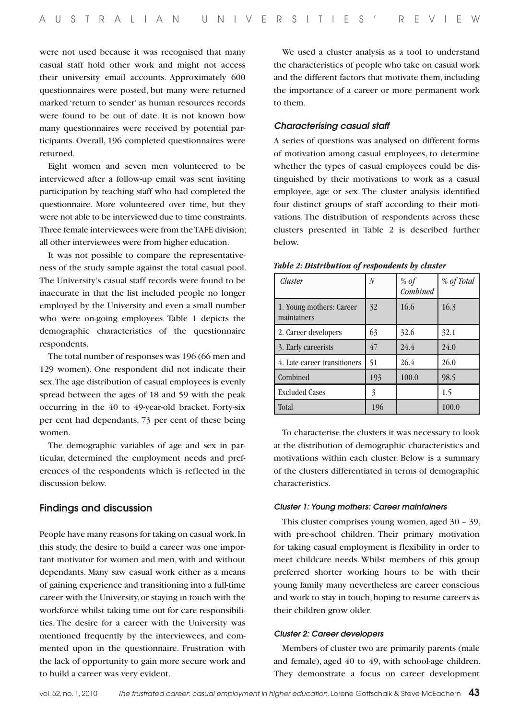were not used because it was recognised that many casual staff hold other work and might not access their university email accounts. Approximately 600 questionnaires were posted, but many were returned marked 'return to sender' as human resources records were found to be out of date. It is not known how many questionnaires were received by potential participants. Overall, 196 completed questionnaires were returned.

Eight women and seven men volunteered to be interviewed after a follow-up email was sent inviting participation by teaching staff who had completed the questionnaire. More volunteered over time, but they were not able to be interviewed due to time constraints. Three female interviewees were from the TAFE division; all other interviewees were from higher education.

It was not possible to compare the representativeness of the study sample against the total casual pool. The University's casual staff records were found to be inaccurate in that the list included people no longer employed by the University and even a small number who were on-going employees. Table 1 depicts the demographic characteristics of the questionnaire respondents.

The total number of responses was 196 (66 men and 129 women). One respondent did not indicate their sex. The age distribution of casual employees is evenly spread between the ages of 18 and 59 with the peak occurring in the 40 to 49-year-old bracket. Forty-six per cent had dependants, 73 per cent of these being women.

The demographic variables of age and sex in particular, determined the employment needs and preferences of the respondents which is reflected in the discussion below.

## Findings and discussion

People have many reasons for taking on casual work. In this study, the desire to build a career was one important motivator for women and men, with and without dependants. Many saw casual work either as a means of gaining experience and transitioning into a full-time career with the University, or staying in touch with the workforce whilst taking time out for care responsibilities. The desire for a career with the University was mentioned frequently by the interviewees, and commented upon in the questionnaire. Frustration with the lack of opportunity to gain more secure work and to build a career was very evident.

We used a cluster analysis as a tool to understand the characteristics of people who take on casual work and the different factors that motivate them, including the importance of a career or more permanent work to them.

#### *Characterising casual staff*

A series of questions was analysed on different forms of motivation among casual employees, to determine whether the types of casual employees could be distinguished by their motivations to work as a casual employee, age or sex. The cluster analysis identified four distinct groups of staff according to their motivations. The distribution of respondents across these clusters presented in Table 2 is described further below.

| Cluster                                 | $\overline{N}$ | % of<br>Combined | % of Total |
|-----------------------------------------|----------------|------------------|------------|
| 1. Young mothers: Career<br>maintainers | 32             | 16.6             | 16.3       |
| 2. Career developers                    | 63             | 32.6             | 32.1       |
| 3. Early careerists                     | 47             | 24.4             | 24.0       |
| 4. Late career transitioners            | 51             | 26.4             | 26.0       |
| Combined                                | 193            | 100.0            | 98.5       |
| <b>Excluded Cases</b>                   | 3              |                  | 1.5        |
| Total                                   | 196            |                  | 100.0      |

#### *Table 2: Distribution of respondents by cluster*

To characterise the clusters it was necessary to look at the distribution of demographic characteristics and motivations within each cluster. Below is a summary of the clusters differentiated in terms of demographic characteristics.

## *Cluster 1: Young mothers: Career maintainers*

This cluster comprises young women, aged 30 – 39, with pre-school children. Their primary motivation for taking casual employment is flexibility in order to meet childcare needs. Whilst members of this group preferred shorter working hours to be with their young family many nevertheless are career conscious and work to stay in touch, hoping to resume careers as their children grow older.

#### *Cluster 2: Career developers*

Members of cluster two are primarily parents (male and female), aged 40 to 49, with school-age children. They demonstrate a focus on career development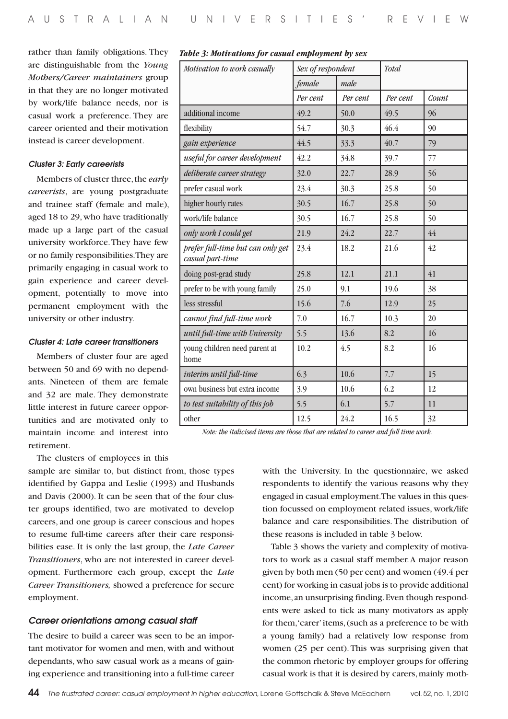rather than family obligations. They are distinguishable from the *Young Mothers/Career maintainers* group in that they are no longer motivated by work/life balance needs, nor is casual work a preference. They are career oriented and their motivation instead is career development.

## *Cluster 3: Early careerists*

Members of cluster three, the *early careerists*, are young postgraduate and trainee staff (female and male), aged 18 to 29, who have traditionally made up a large part of the casual university workforce. They have few or no family responsibilities. They are primarily engaging in casual work to gain experience and career development, potentially to move into permanent employment with the university or other industry.

#### *Cluster 4: Late career transitioners*

Members of cluster four are aged between 50 and 69 with no dependants. Nineteen of them are female and 32 are male. They demonstrate little interest in future career opportunities and are motivated only to maintain income and interest into retirement.

The clusters of employees in this

sample are similar to, but distinct from, those types identified by Gappa and Leslie (1993) and Husbands and Davis (2000). It can be seen that of the four cluster groups identified, two are motivated to develop careers, and one group is career conscious and hopes to resume full-time careers after their care responsibilities ease. It is only the last group, the *Late Career Transitioners*, who are not interested in career development. Furthermore each group, except the *Late Career Transitioners,* showed a preference for secure employment.

#### *Career orientations among casual staff*

The desire to build a career was seen to be an important motivator for women and men, with and without dependants, who saw casual work as a means of gaining experience and transitioning into a full-time career

| Motivation to work casually                           | Sex of respondent |          | Total    |       |
|-------------------------------------------------------|-------------------|----------|----------|-------|
|                                                       | female            | male     |          |       |
|                                                       | Per cent          | Per cent | Per cent | Count |
| additional income                                     | 49.2              | 50.0     | 49.5     | 96    |
| flexibility                                           | 54.7              | 30.3     | 46.4     | 90    |
| gain experience                                       | 44.5              | 33.3     | 40.7     | 79    |
| useful for career development                         | 42.2              | 34.8     | 39.7     | 77    |
| deliberate career strategy                            | 32.0              | 22.7     | 28.9     | 56    |
| prefer casual work                                    | 23.4              | 30.3     | 25.8     | 50    |
| higher hourly rates                                   | 30.5              | 16.7     | 25.8     | 50    |
| work/life balance                                     | 30.5              | 16.7     | 25.8     | 50    |
| only work I could get                                 | 21.9              | 24.2     | 22.7     | 44    |
| prefer full-time but can only get<br>casual part-time | 23.4              | 18.2     | 21.6     | 42    |
| doing post-grad study                                 | 25.8              | 12.1     | 21.1     | 41    |
| prefer to be with young family                        | 25.0              | 9.1      | 19.6     | 38    |
| less stressful                                        | 15.6              | 7.6      | 12.9     | 25    |
| cannot find full-time work                            | 7.0               | 16.7     | 10.3     | 20    |
| until full-time with University                       | 5.5               | 13.6     | 8.2      | 16    |
| young children need parent at<br>home                 | 10.2              | 4.5      | 8.2      | 16    |
| interim until full-time                               | 6.3               | 10.6     | 7.7      | 15    |
| own business but extra income                         | 3.9               | 10.6     | 6.2      | 12    |
| to test suitability of this job                       | 5.5               | 6.1      | 5.7      | 11    |
| other                                                 | 12.5              | 24.2     | 16.5     | 32    |

## *Table 3: Motivations for casual employment by sex*

*Note: the italicised items are those that are related to career and full time work.*

with the University. In the questionnaire, we asked respondents to identify the various reasons why they engaged in casual employment. The values in this question focussed on employment related issues, work/life balance and care responsibilities. The distribution of these reasons is included in table 3 below.

Table 3 shows the variety and complexity of motivators to work as a casual staff member. A major reason given by both men (50 per cent) and women (49.4 per cent) for working in casual jobs is to provide additional income, an unsurprising finding. Even though respondents were asked to tick as many motivators as apply for them, 'carer' items, (such as a preference to be with a young family) had a relatively low response from women (25 per cent). This was surprising given that the common rhetoric by employer groups for offering casual work is that it is desired by carers, mainly moth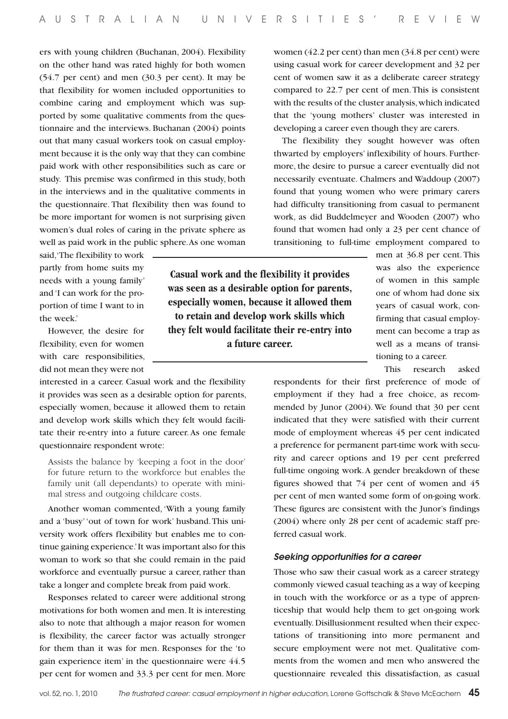ers with young children (Buchanan, 2004). Flexibility on the other hand was rated highly for both women (54.7 per cent) and men (30.3 per cent). It may be that flexibility for women included opportunities to combine caring and employment which was supported by some qualitative comments from the questionnaire and the interviews. Buchanan (2004) points out that many casual workers took on casual employment because it is the only way that they can combine paid work with other responsibilities such as care or study. This premise was confirmed in this study, both in the interviews and in the qualitative comments in the questionnaire. That flexibility then was found to be more important for women is not surprising given women's dual roles of caring in the private sphere as well as paid work in the public sphere. As one woman

said, 'The flexibility to work partly from home suits my needs with a young family' and 'I can work for the proportion of time I want to in the week.'

However, the desire for flexibility, even for women with care responsibilities, did not mean they were not

interested in a career. Casual work and the flexibility it provides was seen as a desirable option for parents, especially women, because it allowed them to retain and develop work skills which they felt would facilitate their re-entry into a future career. As one female questionnaire respondent wrote:

Assists the balance by 'keeping a foot in the door' for future return to the workforce but enables the family unit (all dependants) to operate with minimal stress and outgoing childcare costs.

Another woman commented, 'With a young family and a 'busy' 'out of town for work' husband. This university work offers flexibility but enables me to continue gaining experience.' It was important also for this woman to work so that she could remain in the paid workforce and eventually pursue a career, rather than take a longer and complete break from paid work.

Responses related to career were additional strong motivations for both women and men. It is interesting also to note that although a major reason for women is flexibility, the career factor was actually stronger for them than it was for men. Responses for the 'to gain experience item' in the questionnaire were 44.5 per cent for women and 33.3 per cent for men. More

women (42.2 per cent) than men (34.8 per cent) were using casual work for career development and 32 per cent of women saw it as a deliberate career strategy compared to 22.7 per cent of men. This is consistent with the results of the cluster analysis, which indicated that the 'young mothers' cluster was interested in developing a career even though they are carers.

The flexibility they sought however was often thwarted by employers' inflexibility of hours. Furthermore, the desire to pursue a career eventually did not necessarily eventuate. Chalmers and Waddoup (2007) found that young women who were primary carers had difficulty transitioning from casual to permanent work, as did Buddelmeyer and Wooden (2007) who found that women had only a 23 per cent chance of transitioning to full-time employment compared to

**Casual work and the flexibility it provides was seen as a desirable option for parents, especially women, because it allowed them to retain and develop work skills which they felt would facilitate their re-entry into a future career.** 

men at 36.8 per cent. This was also the experience of women in this sample one of whom had done six years of casual work, confirming that casual employment can become a trap as well as a means of transitioning to a career.

This research asked

respondents for their first preference of mode of employment if they had a free choice, as recommended by Junor (2004). We found that 30 per cent indicated that they were satisfied with their current mode of employment whereas 45 per cent indicated a preference for permanent part-time work with security and career options and 19 per cent preferred full-time ongoing work. A gender breakdown of these figures showed that 74 per cent of women and 45 per cent of men wanted some form of on-going work. These figures are consistent with the Junor's findings (2004) where only 28 per cent of academic staff preferred casual work.

## *Seeking opportunities for a career*

Those who saw their casual work as a career strategy commonly viewed casual teaching as a way of keeping in touch with the workforce or as a type of apprenticeship that would help them to get on-going work eventually. Disillusionment resulted when their expectations of transitioning into more permanent and secure employment were not met. Qualitative comments from the women and men who answered the questionnaire revealed this dissatisfaction, as casual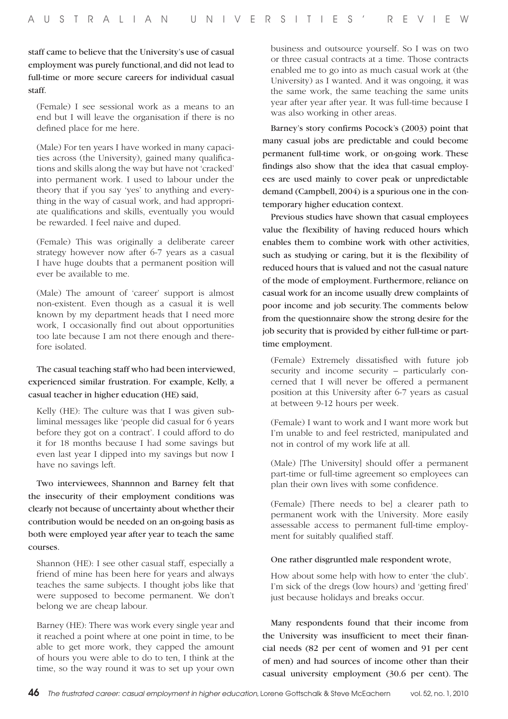staff came to believe that the University's use of casual employment was purely functional, and did not lead to full-time or more secure careers for individual casual staff.

(Female) I see sessional work as a means to an end but I will leave the organisation if there is no defined place for me here.

(Male) For ten years I have worked in many capacities across (the University), gained many qualifications and skills along the way but have not 'cracked' into permanent work. I used to labour under the theory that if you say 'yes' to anything and everything in the way of casual work, and had appropriate qualifications and skills, eventually you would be rewarded. I feel naive and duped.

(Female) This was originally a deliberate career strategy however now after 6-7 years as a casual I have huge doubts that a permanent position will ever be available to me.

(Male) The amount of 'career' support is almost non-existent. Even though as a casual it is well known by my department heads that I need more work, I occasionally find out about opportunities too late because I am not there enough and therefore isolated.

# The casual teaching staff who had been interviewed, experienced similar frustration. For example, Kelly, a casual teacher in higher education (HE) said,

Kelly (HE): The culture was that I was given subliminal messages like 'people did casual for 6 years before they got on a contract'. I could afford to do it for 18 months because I had some savings but even last year I dipped into my savings but now I have no savings left.

Two interviewees, Shannnon and Barney felt that the insecurity of their employment conditions was clearly not because of uncertainty about whether their contribution would be needed on an on-going basis as both were employed year after year to teach the same courses.

Shannon (HE): I see other casual staff, especially a friend of mine has been here for years and always teaches the same subjects. I thought jobs like that were supposed to become permanent. We don't belong we are cheap labour.

Barney (HE): There was work every single year and it reached a point where at one point in time, to be able to get more work, they capped the amount of hours you were able to do to ten, I think at the time, so the way round it was to set up your own business and outsource yourself. So I was on two or three casual contracts at a time. Those contracts enabled me to go into as much casual work at (the University) as I wanted. And it was ongoing, it was the same work, the same teaching the same units year after year after year. It was full-time because I was also working in other areas.

Barney's story confirms Pocock's (2003) point that many casual jobs are predictable and could become permanent full-time work, or on-going work. These findings also show that the idea that casual employees are used mainly to cover peak or unpredictable demand (Campbell, 2004) is a spurious one in the contemporary higher education context.

Previous studies have shown that casual employees value the flexibility of having reduced hours which enables them to combine work with other activities, such as studying or caring, but it is the flexibility of reduced hours that is valued and not the casual nature of the mode of employment. Furthermore, reliance on casual work for an income usually drew complaints of poor income and job security. The comments below from the questionnaire show the strong desire for the job security that is provided by either full-time or parttime employment.

(Female) Extremely dissatisfied with future job security and income security – particularly concerned that I will never be offered a permanent position at this University after 6-7 years as casual at between 9-12 hours per week.

(Female) I want to work and I want more work but I'm unable to and feel restricted, manipulated and not in control of my work life at all.

(Male) [The University] should offer a permanent part-time or full-time agreement so employees can plan their own lives with some confidence.

(Female) [There needs to be] a clearer path to permanent work with the University. More easily assessable access to permanent full-time employment for suitably qualified staff.

### One rather disgruntled male respondent wrote,

How about some help with how to enter 'the club'. I'm sick of the dregs (low hours) and 'getting fired' just because holidays and breaks occur.

Many respondents found that their income from the University was insufficient to meet their financial needs (82 per cent of women and 91 per cent of men) and had sources of income other than their casual university employment (30.6 per cent). The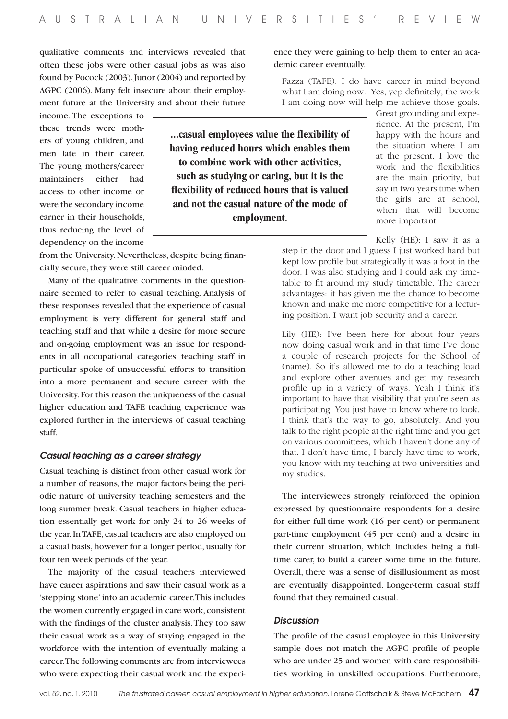qualitative comments and interviews revealed that often these jobs were other casual jobs as was also found by Pocock (2003), Junor (2004) and reported by AGPC (2006). Many felt insecure about their employment future at the University and about their future

income. The exceptions to these trends were mothers of young children, and men late in their career. The young mothers/career maintainers either had access to other income or were the secondary income earner in their households, thus reducing the level of dependency on the income

from the University. Nevertheless, despite being financially secure, they were still career minded.

Many of the qualitative comments in the questionnaire seemed to refer to casual teaching. Analysis of these responses revealed that the experience of casual employment is very different for general staff and teaching staff and that while a desire for more secure and on-going employment was an issue for respondents in all occupational categories, teaching staff in particular spoke of unsuccessful efforts to transition into a more permanent and secure career with the University. For this reason the uniqueness of the casual higher education and TAFE teaching experience was explored further in the interviews of casual teaching staff.

## *Casual teaching as a career strategy*

Casual teaching is distinct from other casual work for a number of reasons, the major factors being the periodic nature of university teaching semesters and the long summer break. Casual teachers in higher education essentially get work for only 24 to 26 weeks of the year. In TAFE, casual teachers are also employed on a casual basis, however for a longer period, usually for four ten week periods of the year.

The majority of the casual teachers interviewed have career aspirations and saw their casual work as a 'stepping stone' into an academic career. This includes the women currently engaged in care work, consistent with the findings of the cluster analysis. They too saw their casual work as a way of staying engaged in the workforce with the intention of eventually making a career. The following comments are from interviewees who were expecting their casual work and the experience they were gaining to help them to enter an academic career eventually.

Fazza (TAFE): I do have career in mind beyond what I am doing now. Yes, yep definitely, the work I am doing now will help me achieve those goals.

Great grounding and expe-

rience. At the present, I'm happy with the hours and the situation where I am at the present. I love the work and the flexibilities are the main priority, but say in two years time when the girls are at school, when that will become more important. **...casual employees value the flexibility of having reduced hours which enables them to combine work with other activities, such as studying or caring, but it is the flexibility of reduced hours that is valued and not the casual nature of the mode of employment.** 

> Kelly (HE): I saw it as a step in the door and I guess I just worked hard but kept low profile but strategically it was a foot in the door. I was also studying and I could ask my timetable to fit around my study timetable. The career advantages: it has given me the chance to become known and make me more competitive for a lecturing position. I want job security and a career.

> Lily (HE): I've been here for about four years now doing casual work and in that time I've done a couple of research projects for the School of (name). So it's allowed me to do a teaching load and explore other avenues and get my research profile up in a variety of ways. Yeah I think it's important to have that visibility that you're seen as participating. You just have to know where to look. I think that's the way to go, absolutely. And you talk to the right people at the right time and you get on various committees, which I haven't done any of that. I don't have time, I barely have time to work, you know with my teaching at two universities and my studies.

The interviewees strongly reinforced the opinion expressed by questionnaire respondents for a desire for either full-time work (16 per cent) or permanent part-time employment (45 per cent) and a desire in their current situation, which includes being a fulltime carer, to build a career some time in the future. Overall, there was a sense of disillusionment as most are eventually disappointed. Longer-term casual staff found that they remained casual.

#### *Discussion*

The profile of the casual employee in this University sample does not match the AGPC profile of people who are under 25 and women with care responsibilities working in unskilled occupations. Furthermore,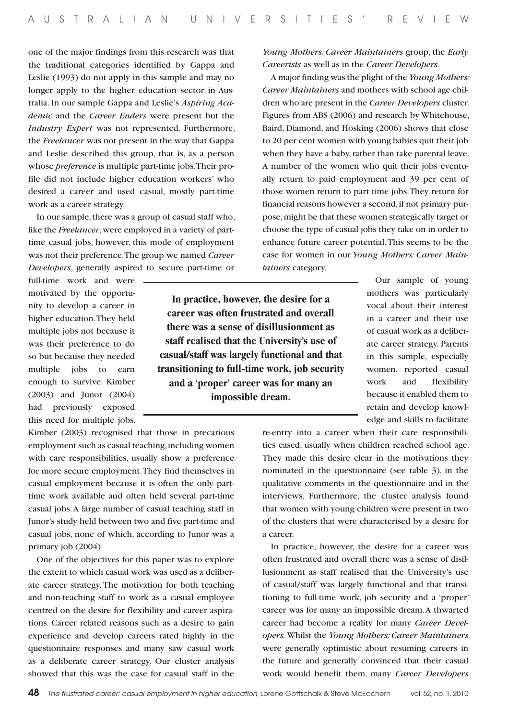one of the major findings from this research was that the traditional categories identified by Gappa and Leslie (1993) do not apply in this sample and may no longer apply to the higher education sector in Australia. In our sample Gappa and Leslie's *Aspiring Academic* and the *Career Enders* were present but the *Industry Expert* was not represented. Furthermore, the *Freelancer* was not present in the way that Gappa and Leslie described this group, that is, as a person whose *preference* is multiple part-time jobs. Their profile did not include higher education workers' who desired a career and used casual, mostly part-time work as a career strategy.

In our sample, there was a group of casual staff who, like the *Freelancer*, were employed in a variety of parttime casual jobs, however, this mode of employment was not their preference. The group we named *Career Developers*, generally aspired to secure part-time or

full-time work and were motivated by the opportunity to develop a career in higher education. They held multiple jobs not because it was their preference to do so but because they needed multiple jobs to earn enough to survive. Kimber (2003) and Junor (2004) had previously exposed this need for multiple jobs.

**In practice, however, the desire for a career was often frustrated and overall there was a sense of disillusionment as staff realised that the University's use of casual/staff was largely functional and that transitioning to full-time work, job security and a 'proper' career was for many an impossible dream.** 

*Young Mothers: Career Maintainers* group, the *Early Careerists* as well as in the *Career Developers.*

A major finding was the plight of the *Young Mothers: Career Maintainers* and mothers with school age children who are present in the *Career Developers* cluster. Figures from ABS (2006) and research by Whitehouse, Baird, Diamond, and Hosking (2006) shows that close to 20 per cent women with young babies quit their job when they have a baby, rather than take parental leave. A number of the women who quit their jobs eventually return to paid employment and 39 per cent of those women return to part time jobs. They return for financial reasons however a second, if not primary purpose, might be that these women strategically target or choose the type of casual jobs they take on in order to enhance future career potential. This seems to be the case for women in our *Young Mothers: Career Maintainers* category.

> Our sample of young mothers was particularly vocal about their interest in a career and their use of casual work as a deliberate career strategy. Parents in this sample, especially women, reported casual work and flexibility because it enabled them to retain and develop knowledge and skills to facilitate

re-entry into a career when their care responsibilities eased, usually when children reached school age. They made this desire clear in the motivations they nominated in the questionnaire (see table 3), in the qualitative comments in the questionnaire and in the interviews. Furthermore, the cluster analysis found that women with young children were present in two of the clusters that were characterised by a desire for a career.

In practice, however, the desire for a career was often frustrated and overall there was a sense of disillusionment as staff realised that the University's use of casual/staff was largely functional and that transitioning to full-time work, job security and a 'proper' career was for many an impossible dream. A thwarted career had become a reality for many *Career Developers.* Whilst the *Young Mothers: Career Maintainers*  were generally optimistic about resuming careers in the future and generally convinced that their casual work would benefit them, many *Career Developers*

Kimber (2003) recognised that those in precarious employment such as casual teaching, including women with care responsibilities, usually show a preference for more secure employment. They find themselves in casual employment because it is often the only parttime work available and often held several part-time casual jobs. A large number of casual teaching staff in Junor's study held between two and five part-time and casual jobs, none of which, according to Junor was a primary job (2004).

One of the objectives for this paper was to explore the extent to which casual work was used as a deliberate career strategy. The motivation for both teaching and non-teaching staff to work as a casual employee centred on the desire for flexibility and career aspirations. Career related reasons such as a desire to gain experience and develop careers rated highly in the questionnaire responses and many saw casual work as a deliberate career strategy. Our cluster analysis showed that this was the case for casual staff in the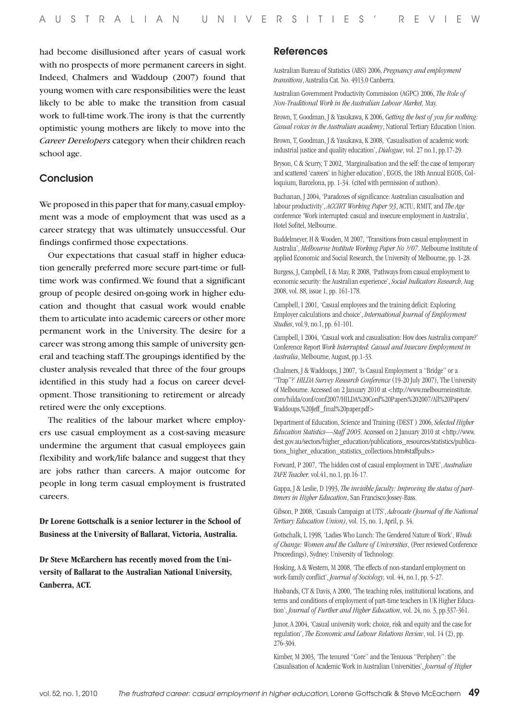had become disillusioned after years of casual work with no prospects of more permanent careers in sight. Indeed, Chalmers and Waddoup (2007) found that young women with care responsibilities were the least likely to be able to make the transition from casual work to full-time work. The irony is that the currently optimistic young mothers are likely to move into the *Career Developers* category when their children reach school age.

# Conclusion

We proposed in this paper that for many, casual employment was a mode of employment that was used as a career strategy that was ultimately unsuccessful. Our findings confirmed those expectations.

Our expectations that casual staff in higher education generally preferred more secure part-time or fulltime work was confirmed. We found that a significant group of people desired on-going work in higher education and thought that casual work would enable them to articulate into academic careers or other more permanent work in the University. The desire for a career was strong among this sample of university general and teaching staff. The groupings identified by the cluster analysis revealed that three of the four groups identified in this study had a focus on career development. Those transitioning to retirement or already retired were the only exceptions.

The realities of the labour market where employers use casual employment as a cost-saving measure undermine the argument that casual employees gain flexibility and work/life balance and suggest that they are jobs rather than careers. A major outcome for people in long term casual employment is frustrated careers.

**Dr Lorene Gottschalk is a senior lecturer in the School of Business at the University of Ballarat, Victoria, Australia.**

**Dr Steve McEarchern has recently moved from the University of Ballarat to the Australian National University, Canberra, ACT.**

## References

Australian Bureau of Statistics (ABS) 2006, *Pregnancy and employment transitions*, Australia Cat. No. 4913.0 Canberra.

Australian Government Productivity Commission (AGPC) 2006, *The Role of Non-Traditional Work in the Australian Labour Market,* May.

Brown, T, Goodman, J & Yasukawa, K 2006, G*etting the best of you for nothing: Casual voices in the Australian academy*, National Tertiary Education Union.

Brown, T, Goodman, J & Yasukawa, K 2008, 'Casualisation of academic work: industrial justice and quality education', *Dialogue*, vol. 27 no.1, pp.17-29.

Bryson, C & Scurry, T 2002, 'Marginalisation and the self: the case of temporary and scattered 'careers' in higher education', EGOS, the 18th Annual EGOS, Colloquium, Barcelona, pp. 1-34. (cited with permission of authors).

Buchanan, J 2004, 'Paradoxes of significance: Australian casualisation and labour productivity', *ACCIRT Working Paper 93*, ACTU, RMIT, and *The Age* conference 'Work interrupted: casual and insecure employment in Australia', Hotel Sofitel, Melbourne.

Buddelmeyer, H & Wooden, M 2007, 'Transitions from casual employment in Australia', *Melbourne Institute Working Paper No ?/07*. Melbourne Institute of applied Economic and Social Research, the University of Melbourne, pp. 1-28.

Burgess, J, Campbell, I & May, R 2008, 'Pathways from casual employment to economic security: the Australian experience', *Social Indicators Research*, Aug 2008, vol. 88, issue 1, pp. 161-178.

Campbell, I 2001, 'Casual employees and the training deficit: Exploring Employer calculations and choice', *International Journal of Employment Studies*, vol.9, no.1, pp. 61-101.

Campbell, I 2004, 'Casual work and casualisation: How does Australia compare?' Conference Report *Work Interrupted: Casual and Insecure Employment in Australia*, Melbourne, August, pp.1-33.

Chalmers, J & Waddoups, J 2007, 'Is Casual Employment a "Bridge" or a "Trap"?' *HILDA Survey Research Conference* (19-20 July 2007), The University of Melbourne. Accessed on 2 January 2010 at <http://www.melbourneinstitute. com/hilda/conf/conf2007/HILDA%20Conf%20Papers%202007/All%20Papers/ Waddoups,%20Jeff\_final%20paper.pdf>

Department of Education, Science and Training (DEST ) 2006, *Selected Higher Education Statistics—Staff 2005*. Accessed on 2 January 2010 at <http://www. dest.gov.au/sectors/higher\_education/publications\_resources/statistics/publications\_higher\_education\_statistics\_collections.htm#staffpubs>

Forward, P 2007, 'The hidden cost of casual employment in TAFE', *Australian TAFE Teacher,* vol.41, no.1, pp.16-17.

Gappa, J & Leslie, D 1993, *The invisible faculty: Improving the status of parttimers in Higher Education*, San Francisco:Jossey-Bass.

Gibson, P 2008, 'Casuals Campaign at UTS', *Advocate (Journal of the National Tertiary Education Union)*, vol. 15, no. 1, April, p. 34.

Gottschalk, L 1998, 'Ladies Who Lunch: The Gendered Nature of Work', *Winds of Change: Women and the Culture of Universities*, (Peer reviewed Conference Proceedings), Sydney: University of Technology.

Hosking, A & Western, M 2008, 'The effects of non-standard employment on work-family conflict', *Journal of Sociology,* vol. 44, no.1, pp. 5-27.

Husbands, CT & Davis, A 2000, 'The teaching roles, institutional locations, and terms and conditions of employment of part-time teachers in UK Higher Education', *Journal of Further and Higher Education*, vol. 24, no. 3, pp.337-361.

Junor, A 2004, 'Casual university work: choice, risk and equity and the case for regulation', *The Economic and Labour Relations Review*, vol. 14 (2), pp. 276-304.

Kimber, M 2003, 'The tenured "Core" and the Tenuous "Periphery": the Casualisation of Academic Work in Australian Universities', *Journal of Higher*